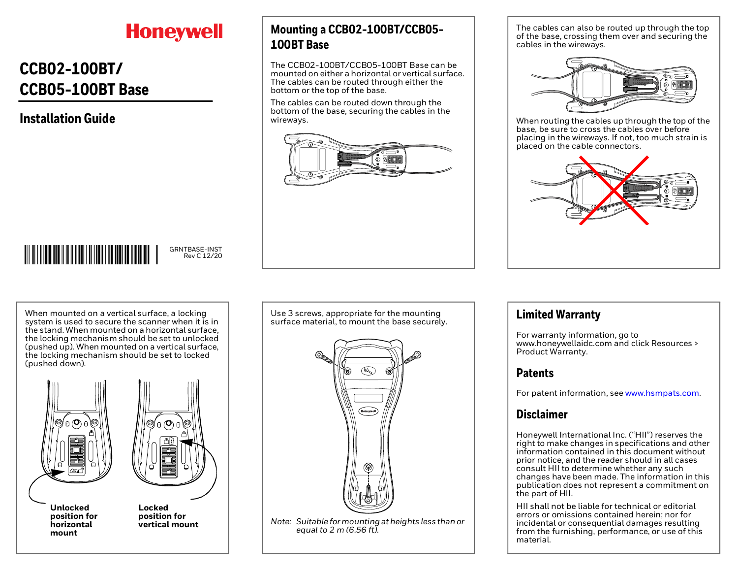# **Honeywell**

### **CCB02-100BT/ CCB05-100BT Base**

### **Installation Guide**

**Mounting a CCB02-100BT/CCB05- 100BT Base**

The CCB02-100BT/CCB05-100BT Base can be mounted on either a horizontal or vertical surface. The cables can be routed through either the bottom or the top of the base.

The cables can be routed down through the bottom of the base, securing the cables in the wireways.



The cables can also be routed up through the top of the base, crossing them over and securing the cables in the wireways.



When routing the cables up through the top of the base, be sure to cross the cables over before placing in the wireways. If not, too much strain is placed on the cable connectors.



# 

GRNTBASE-INST Rev C 12/20

When mounted on a vertical surface, a locking system is used to secure the scanner when it is in the stand. When mounted on a horizontal surface, the locking mechanism should be set to unlocked (pushed up). When mounted on a vertical surface, the locking mechanism should be set to locked (pushed down).





**Unlocked position for horizontal mount**

**Locked position for vertical mount** Use 3 screws, appropriate for the mounting surface material, to mount the base securely.



**Limited Warranty**

For warranty information, go to www.honeywellaidc.com and click Resources > Product Warranty.

#### **Patents**

For patent information, see [www.hsmpats.com](http://www.hsmpats.com).

#### **Disclaimer**

Honeywell International Inc. ("HII") reserves the right to make changes in specifications and other information contained in this document without prior notice, and the reader should in all cases consult HII to determine whether any such changes have been made. The information in this publication does not represent a commitment on the part of HII.

HII shall not be liable for technical or editorial errors or omissions contained herein; nor for incidental or consequential damages resulting from the furnishing, performance, or use of this material.